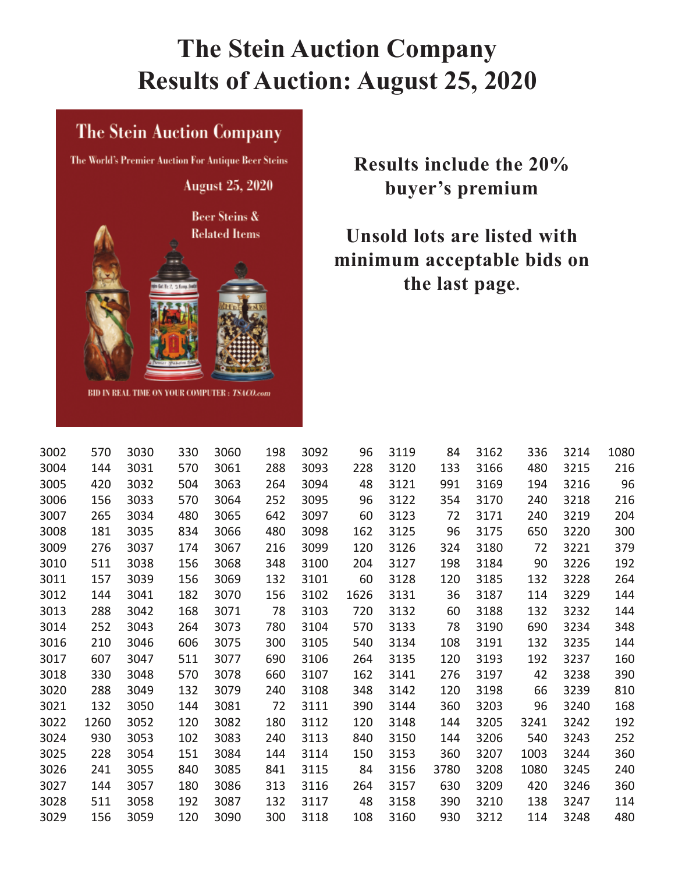## **The Stein Auction Company Results of Auction: August 25, 2020**

## **The Stein Auction Company**

The World's Premier Auction For Antique Beer Steins **August 25, 2020** Beer Steins & **Related Items** BID IN REAL TIME ON YOUR COMPUTER: TSACO.com

**Results include the 20% buyer's premium** 

**Unsold lots are listed with minimum acceptable bids on the last page.** 

| 3002 | 570  | 3030 | 330 | 3060 | 198 | 3092 | 96   | 3119 | 84   | 3162 | 336  | 3214 | 1080 |
|------|------|------|-----|------|-----|------|------|------|------|------|------|------|------|
| 3004 | 144  | 3031 | 570 | 3061 | 288 | 3093 | 228  | 3120 | 133  | 3166 | 480  | 3215 | 216  |
| 3005 | 420  | 3032 | 504 | 3063 | 264 | 3094 | 48   | 3121 | 991  | 3169 | 194  | 3216 | 96   |
| 3006 | 156  | 3033 | 570 | 3064 | 252 | 3095 | 96   | 3122 | 354  | 3170 | 240  | 3218 | 216  |
| 3007 | 265  | 3034 | 480 | 3065 | 642 | 3097 | 60   | 3123 | 72   | 3171 | 240  | 3219 | 204  |
| 3008 | 181  | 3035 | 834 | 3066 | 480 | 3098 | 162  | 3125 | 96   | 3175 | 650  | 3220 | 300  |
| 3009 | 276  | 3037 | 174 | 3067 | 216 | 3099 | 120  | 3126 | 324  | 3180 | 72   | 3221 | 379  |
| 3010 | 511  | 3038 | 156 | 3068 | 348 | 3100 | 204  | 3127 | 198  | 3184 | 90   | 3226 | 192  |
| 3011 | 157  | 3039 | 156 | 3069 | 132 | 3101 | 60   | 3128 | 120  | 3185 | 132  | 3228 | 264  |
| 3012 | 144  | 3041 | 182 | 3070 | 156 | 3102 | 1626 | 3131 | 36   | 3187 | 114  | 3229 | 144  |
| 3013 | 288  | 3042 | 168 | 3071 | 78  | 3103 | 720  | 3132 | 60   | 3188 | 132  | 3232 | 144  |
| 3014 | 252  | 3043 | 264 | 3073 | 780 | 3104 | 570  | 3133 | 78   | 3190 | 690  | 3234 | 348  |
| 3016 | 210  | 3046 | 606 | 3075 | 300 | 3105 | 540  | 3134 | 108  | 3191 | 132  | 3235 | 144  |
| 3017 | 607  | 3047 | 511 | 3077 | 690 | 3106 | 264  | 3135 | 120  | 3193 | 192  | 3237 | 160  |
| 3018 | 330  | 3048 | 570 | 3078 | 660 | 3107 | 162  | 3141 | 276  | 3197 | 42   | 3238 | 390  |
| 3020 | 288  | 3049 | 132 | 3079 | 240 | 3108 | 348  | 3142 | 120  | 3198 | 66   | 3239 | 810  |
| 3021 | 132  | 3050 | 144 | 3081 | 72  | 3111 | 390  | 3144 | 360  | 3203 | 96   | 3240 | 168  |
| 3022 | 1260 | 3052 | 120 | 3082 | 180 | 3112 | 120  | 3148 | 144  | 3205 | 3241 | 3242 | 192  |
| 3024 | 930  | 3053 | 102 | 3083 | 240 | 3113 | 840  | 3150 | 144  | 3206 | 540  | 3243 | 252  |
| 3025 | 228  | 3054 | 151 | 3084 | 144 | 3114 | 150  | 3153 | 360  | 3207 | 1003 | 3244 | 360  |
| 3026 | 241  | 3055 | 840 | 3085 | 841 | 3115 | 84   | 3156 | 3780 | 3208 | 1080 | 3245 | 240  |
| 3027 | 144  | 3057 | 180 | 3086 | 313 | 3116 | 264  | 3157 | 630  | 3209 | 420  | 3246 | 360  |
| 3028 | 511  | 3058 | 192 | 3087 | 132 | 3117 | 48   | 3158 | 390  | 3210 | 138  | 3247 | 114  |
| 3029 | 156  | 3059 | 120 | 3090 | 300 | 3118 | 108  | 3160 | 930  | 3212 | 114  | 3248 | 480  |
|      |      |      |     |      |     |      |      |      |      |      |      |      |      |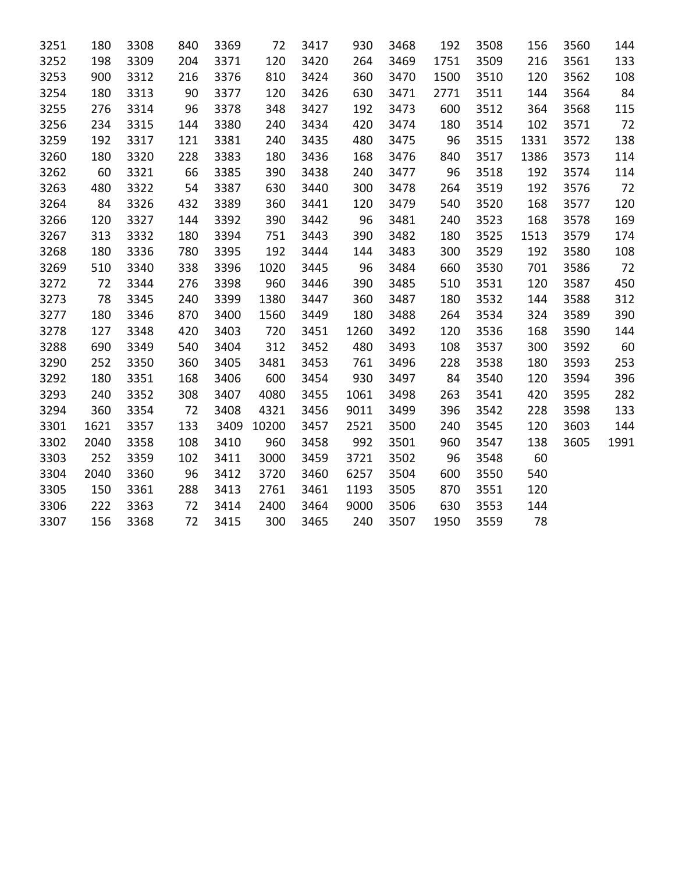| 3251 | 180  | 3308 | 840 | 3369 | 72    | 3417 | 930  | 3468 | 192  | 3508 | 156  | 3560 | 144  |
|------|------|------|-----|------|-------|------|------|------|------|------|------|------|------|
| 3252 | 198  | 3309 | 204 | 3371 | 120   | 3420 | 264  | 3469 | 1751 | 3509 | 216  | 3561 | 133  |
| 3253 | 900  | 3312 | 216 | 3376 | 810   | 3424 | 360  | 3470 | 1500 | 3510 | 120  | 3562 | 108  |
| 3254 | 180  | 3313 | 90  | 3377 | 120   | 3426 | 630  | 3471 | 2771 | 3511 | 144  | 3564 | 84   |
| 3255 | 276  | 3314 | 96  | 3378 | 348   | 3427 | 192  | 3473 | 600  | 3512 | 364  | 3568 | 115  |
| 3256 | 234  | 3315 | 144 | 3380 | 240   | 3434 | 420  | 3474 | 180  | 3514 | 102  | 3571 | 72   |
| 3259 | 192  | 3317 | 121 | 3381 | 240   | 3435 | 480  | 3475 | 96   | 3515 | 1331 | 3572 | 138  |
| 3260 | 180  | 3320 | 228 | 3383 | 180   | 3436 | 168  | 3476 | 840  | 3517 | 1386 | 3573 | 114  |
| 3262 | 60   | 3321 | 66  | 3385 | 390   | 3438 | 240  | 3477 | 96   | 3518 | 192  | 3574 | 114  |
| 3263 | 480  | 3322 | 54  | 3387 | 630   | 3440 | 300  | 3478 | 264  | 3519 | 192  | 3576 | 72   |
| 3264 | 84   | 3326 | 432 | 3389 | 360   | 3441 | 120  | 3479 | 540  | 3520 | 168  | 3577 | 120  |
| 3266 | 120  | 3327 | 144 | 3392 | 390   | 3442 | 96   | 3481 | 240  | 3523 | 168  | 3578 | 169  |
| 3267 | 313  | 3332 | 180 | 3394 | 751   | 3443 | 390  | 3482 | 180  | 3525 | 1513 | 3579 | 174  |
| 3268 | 180  | 3336 | 780 | 3395 | 192   | 3444 | 144  | 3483 | 300  | 3529 | 192  | 3580 | 108  |
| 3269 | 510  | 3340 | 338 | 3396 | 1020  | 3445 | 96   | 3484 | 660  | 3530 | 701  | 3586 | 72   |
| 3272 | 72   | 3344 | 276 | 3398 | 960   | 3446 | 390  | 3485 | 510  | 3531 | 120  | 3587 | 450  |
| 3273 | 78   | 3345 | 240 | 3399 | 1380  | 3447 | 360  | 3487 | 180  | 3532 | 144  | 3588 | 312  |
| 3277 | 180  | 3346 | 870 | 3400 | 1560  | 3449 | 180  | 3488 | 264  | 3534 | 324  | 3589 | 390  |
| 3278 | 127  | 3348 | 420 | 3403 | 720   | 3451 | 1260 | 3492 | 120  | 3536 | 168  | 3590 | 144  |
| 3288 | 690  | 3349 | 540 | 3404 | 312   | 3452 | 480  | 3493 | 108  | 3537 | 300  | 3592 | 60   |
| 3290 | 252  | 3350 | 360 | 3405 | 3481  | 3453 | 761  | 3496 | 228  | 3538 | 180  | 3593 | 253  |
| 3292 | 180  | 3351 | 168 | 3406 | 600   | 3454 | 930  | 3497 | 84   | 3540 | 120  | 3594 | 396  |
| 3293 | 240  | 3352 | 308 | 3407 | 4080  | 3455 | 1061 | 3498 | 263  | 3541 | 420  | 3595 | 282  |
| 3294 | 360  | 3354 | 72  | 3408 | 4321  | 3456 | 9011 | 3499 | 396  | 3542 | 228  | 3598 | 133  |
| 3301 | 1621 | 3357 | 133 | 3409 | 10200 | 3457 | 2521 | 3500 | 240  | 3545 | 120  | 3603 | 144  |
| 3302 | 2040 | 3358 | 108 | 3410 | 960   | 3458 | 992  | 3501 | 960  | 3547 | 138  | 3605 | 1991 |
| 3303 | 252  | 3359 | 102 | 3411 | 3000  | 3459 | 3721 | 3502 | 96   | 3548 | 60   |      |      |
| 3304 | 2040 | 3360 | 96  | 3412 | 3720  | 3460 | 6257 | 3504 | 600  | 3550 | 540  |      |      |
| 3305 | 150  | 3361 | 288 | 3413 | 2761  | 3461 | 1193 | 3505 | 870  | 3551 | 120  |      |      |
| 3306 | 222  | 3363 | 72  | 3414 | 2400  | 3464 | 9000 | 3506 | 630  | 3553 | 144  |      |      |
| 3307 | 156  | 3368 | 72  | 3415 | 300   | 3465 | 240  | 3507 | 1950 | 3559 | 78   |      |      |